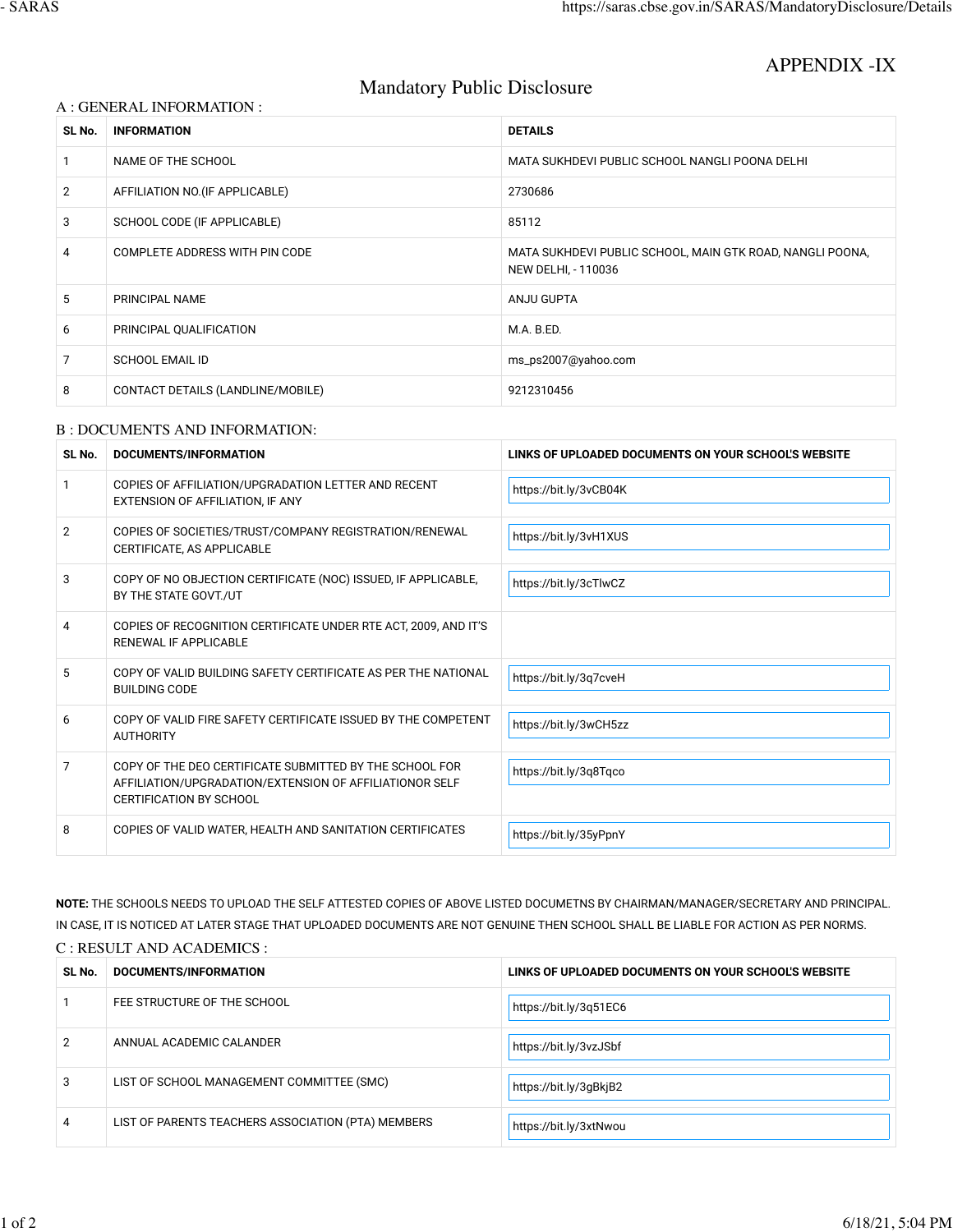APPENDIX -IX

# Mandatory Public Disclosure

## A : GENERAL INFORMATION :

| SL No.         | <b>INFORMATION</b>                    | <b>DETAILS</b>                                                                   |
|----------------|---------------------------------------|----------------------------------------------------------------------------------|
|                | NAME OF THE SCHOOL                    | MATA SUKHDEVI PUBLIC SCHOOL NANGLI POONA DELHI                                   |
| $\overline{2}$ | AFFILIATION NO. (IF APPLICABLE)       | 2730686                                                                          |
| 3              | SCHOOL CODE (IF APPLICABLE)           | 85112                                                                            |
| 4              | <b>COMPLETE ADDRESS WITH PIN CODE</b> | MATA SUKHDEVI PUBLIC SCHOOL, MAIN GTK ROAD, NANGLI POONA,<br>NEW DELHI, - 110036 |
| 5              | PRINCIPAL NAME                        | ANJU GUPTA                                                                       |
| 6              | PRINCIPAL QUALIFICATION               | M.A. B.ED.                                                                       |
| 7              | SCHOOL EMAIL ID                       | ms_ps2007@yahoo.com                                                              |
| 8              | CONTACT DETAILS (LANDLINE/MOBILE)     | 9212310456                                                                       |

#### B : DOCUMENTS AND INFORMATION:

| SL No.         | DOCUMENTS/INFORMATION                                                                                                                                | LINKS OF UPLOADED DOCUMENTS ON YOUR SCHOOL'S WEBSITE |
|----------------|------------------------------------------------------------------------------------------------------------------------------------------------------|------------------------------------------------------|
| 1              | COPIES OF AFFILIATION/UPGRADATION LETTER AND RECENT<br>EXTENSION OF AFFILIATION, IF ANY                                                              | https://bit.ly/3vCB04K                               |
| $\overline{2}$ | COPIES OF SOCIETIES/TRUST/COMPANY REGISTRATION/RENEWAL<br>CERTIFICATE, AS APPLICABLE                                                                 | https://bit.ly/3vH1XUS                               |
| 3              | COPY OF NO OBJECTION CERTIFICATE (NOC) ISSUED, IF APPLICABLE,<br>BY THE STATE GOVT./UT                                                               | https://bit.ly/3cTlwCZ                               |
| 4              | COPIES OF RECOGNITION CERTIFICATE UNDER RTE ACT, 2009, AND IT'S<br>RENEWAL IF APPLICABLE                                                             |                                                      |
| 5              | COPY OF VALID BUILDING SAFETY CERTIFICATE AS PER THE NATIONAL<br><b>BUILDING CODE</b>                                                                | https://bit.ly/3q7cveH                               |
| 6              | COPY OF VALID FIRE SAFETY CERTIFICATE ISSUED BY THE COMPETENT<br><b>AUTHORITY</b>                                                                    | https://bit.ly/3wCH5zz                               |
| 7              | COPY OF THE DEO CERTIFICATE SUBMITTED BY THE SCHOOL FOR<br>AFFILIATION/UPGRADATION/EXTENSION OF AFFILIATIONOR SELF<br><b>CERTIFICATION BY SCHOOL</b> | https://bit.ly/3q8Tqco                               |
| 8              | COPIES OF VALID WATER, HEALTH AND SANITATION CERTIFICATES                                                                                            | https://bit.ly/35yPpnY                               |

**NOTE:** THE SCHOOLS NEEDS TO UPLOAD THE SELF ATTESTED COPIES OF ABOVE LISTED DOCUMETNS BY CHAIRMAN/MANAGER/SECRETARY AND PRINCIPAL. IN CASE, IT IS NOTICED AT LATER STAGE THAT UPLOADED DOCUMENTS ARE NOT GENUINE THEN SCHOOL SHALL BE LIABLE FOR ACTION AS PER NORMS. C : RESULT AND ACADEMICS :

| SL No. | DOCUMENTS/INFORMATION                              | LINKS OF UPLOADED DOCUMENTS ON YOUR SCHOOL'S WEBSITE |
|--------|----------------------------------------------------|------------------------------------------------------|
|        | FEE STRUCTURE OF THE SCHOOL                        | https://bit.ly/3q51EC6                               |
| 2      | ANNUAL ACADEMIC CALANDER                           | https://bit.ly/3vzJSbf                               |
| 3      | LIST OF SCHOOL MANAGEMENT COMMITTEE (SMC)          | https://bit.ly/3gBkjB2                               |
| 4      | LIST OF PARENTS TEACHERS ASSOCIATION (PTA) MEMBERS | https://bit.ly/3xtNwou                               |